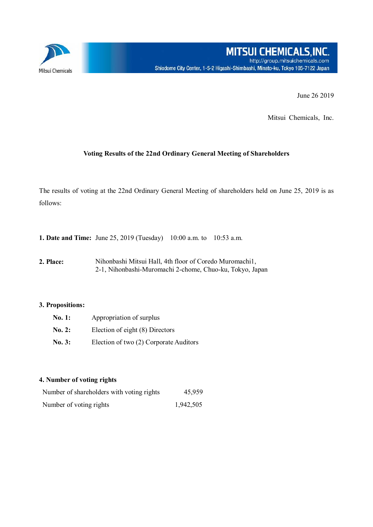

June 26 2019

Mitsui Chemicals, Inc.

## **Voting Results of the 22nd Ordinary General Meeting of Shareholders**

The results of voting at the 22nd Ordinary General Meeting of shareholders held on June 25, 2019 is as follows:

**1. Date and Time:** June 25, 2019 (Tuesday) 10:00 a.m. to 10:53 a.m.

**2. Place:** Nihonbashi Mitsui Hall, 4th floor of Coredo Muromachi1, 2-1, Nihonbashi-Muromachi 2-chome, Chuo-ku, Tokyo, Japan

## **3. Propositions:**

| No. 1: | Appropriation of surplus               |  |  |  |  |
|--------|----------------------------------------|--|--|--|--|
| No. 2: | Election of eight (8) Directors        |  |  |  |  |
| No. 3: | Election of two (2) Corporate Auditors |  |  |  |  |

## **4. Number of voting rights**

| Number of shareholders with voting rights | 45,959    |
|-------------------------------------------|-----------|
| Number of voting rights                   | 1,942,505 |